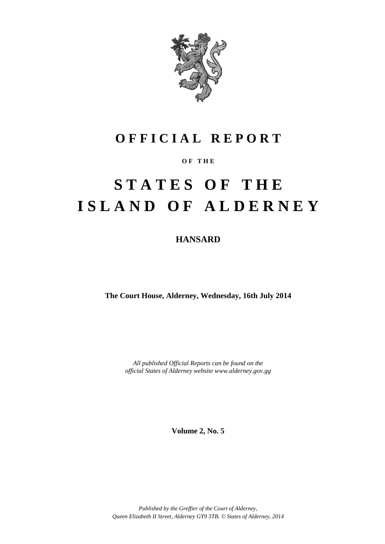

# **O F F I C I A L R E P O R T**

### **O F T H E**

# **S T A T E S O F T H E I S L A N D O F A L D E R N E Y**

### **HANSARD**

**The Court House, Alderney, Wednesday, 16th July 2014**

*All published Official Reports can be found on the official States of Alderney website www.alderney.gov.gg*

**Volume 2, No. 5**

*Published by the Greffier of the Court of Alderney, Queen Elizabeth II Street, Alderney GY9 3TB. © States of Alderney, 2014*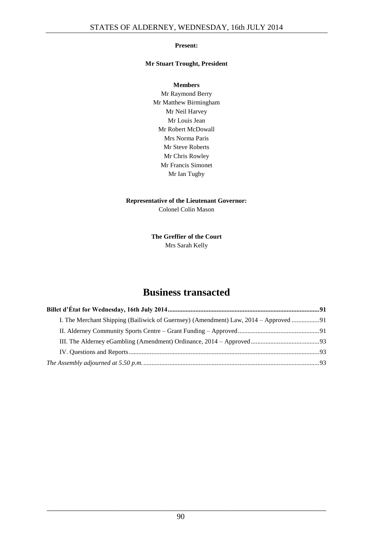### **Present:**

### **Mr Stuart Trought, President**

**Members** Mr Raymond Berry Mr Matthew Birmingham Mr Neil Harvey Mr Louis Jean Mr Robert McDowall Mrs Norma Paris Mr Steve Roberts Mr Chris Rowley Mr Francis Simonet Mr Ian Tugby

### **Representative of the Lieutenant Governor:** Colonel Colin Mason

**The Greffier of the Court** Mrs Sarah Kelly

### **Business transacted**

| I. The Merchant Shipping (Bailiwick of Guernsey) (Amendment) Law, 2014 – Approved 91 |  |
|--------------------------------------------------------------------------------------|--|
|                                                                                      |  |
|                                                                                      |  |
|                                                                                      |  |
|                                                                                      |  |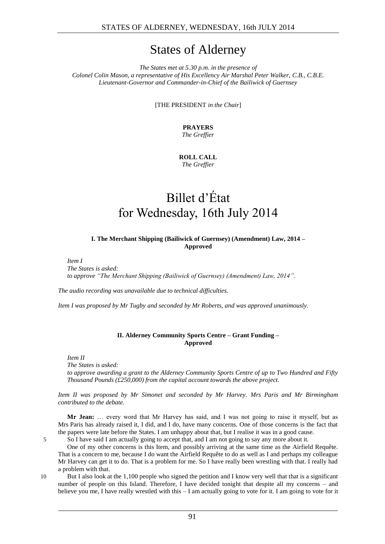## States of Alderney

*The States met at 5.30 p.m. in the presence of Colonel Colin Mason, a representative of His Excellency Air Marshal Peter Walker, C.B., C.B.E. Lieutenant-Governor and Commander-in-Chief of the Bailiwick of Guernsey*

[THE PRESIDENT *in the Chair*]

**PRAYERS** *The Greffier*

**ROLL CALL** *The Greffier*

# Billet d'État for Wednesday, 16th July 2014

### <span id="page-2-0"></span>**I. The Merchant Shipping (Bailiwick of Guernsey) (Amendment) Law, 2014 – Approved**

<span id="page-2-1"></span>*Item I*

*The States is asked: to approve "The Merchant Shipping (Bailiwick of Guernsey) (Amendment) Law, 2014".*

*The audio recording was unavailable due to technical difficulties.*

*Item I was proposed by Mr Tugby and seconded by Mr Roberts, and was approved unanimously.*

### **II. Alderney Community Sports Centre – Grant Funding – Approved**

<span id="page-2-2"></span>*Item II*

*The States is asked:*

*to approve awarding a grant to the Alderney Community Sports Centre of up to Two Hundred and Fifty Thousand Pounds (£250,000) from the capital account towards the above project.*

*Item II was proposed by Mr Simonet and seconded by Mr Harvey. Mrs Paris and Mr Birmingham contributed to the debate.*

**Mr Jean:** … every word that Mr Harvey has said, and I was not going to raise it myself, but as Mrs Paris has already raised it, I did, and I do, have many concerns. One of those concerns is the fact that the papers were late before the States. I am unhappy about that, but I realise it was in a good cause.

5 So I have said I am actually going to accept that, and I am not going to say any more about it.

One of my other concerns is this Item, and possibly arriving at the same time as the Airfield Requête. That is a concern to me, because I do want the Airfield Requête to do as well as I and perhaps my colleague Mr Harvey can get it to do. That is a problem for me. So I have really been wrestling with that. I really had a problem with that.

10 But I also look at the 1,100 people who signed the petition and I know very well that that is a significant number of people on this Island. Therefore, I have decided tonight that despite all my concerns – and believe you me, I have really wrestled with this  $-1$  am actually going to vote for it. I am going to vote for it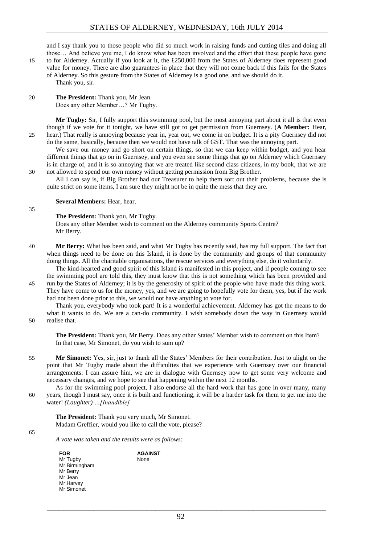and I say thank you to those people who did so much work in raising funds and cutting tiles and doing all those… And believe you me, I do know what has been involved and the effort that these people have gone

15 to for Alderney. Actually if you look at it, the £250,000 from the States of Alderney does represent good value for money. There are also guarantees in place that they will not come back if this fails for the States of Alderney. So this gesture from the States of Alderney is a good one, and we should do it. Thank you, sir.

20 **The President:** Thank you, Mr Jean. Does any other Member…? Mr Tugby.

**Mr Tugby:** Sir, I fully support this swimming pool, but the most annoying part about it all is that even though if we vote for it tonight, we have still got to get permission from Guernsey. (**A Member:** Hear, 25 hear.) That really is annoying because year in, year out, we come in on budget. It is a pity Guernsey did not do the same, basically, because then we would not have talk of GST. That was the annoying part.

We save our money and go short on certain things, so that we can keep within budget, and you hear different things that go on in Guernsey, and you even see some things that go on Alderney which Guernsey is in charge of, and it is so annoying that we are treated like second class citizens, in my book, that we are 30 not allowed to spend our own money without getting permission from Big Brother.

All I can say is, if Big Brother had our Treasurer to help them sort out their problems, because she is quite strict on some items, I am sure they might not be in quite the mess that they are.

#### **Several Members:** Hear, hear.

**The President:** Thank you, Mr Tugby.

Does any other Member wish to comment on the Alderney community Sports Centre? Mr Berry.

40 **Mr Berry:** What has been said, and what Mr Tugby has recently said, has my full support. The fact that when things need to be done on this Island, it is done by the community and groups of that community doing things. All the charitable organisations, the rescue services and everything else, do it voluntarily.

The kind-hearted and good spirit of this Island is manifested in this project, and if people coming to see the swimming pool are told this, they must know that this is not something which has been provided and

45 run by the States of Alderney; it is by the generosity of spirit of the people who have made this thing work. They have come to us for the money, yes, and we are going to hopefully vote for them, yes, but if the work had not been done prior to this, we would not have anything to vote for.

Thank you, everybody who took part! It is a wonderful achievement. Alderney has got the means to do what it wants to do. We are a can-do community. I wish somebody down the way in Guernsey would 50 realise that.

- **The President:** Thank you, Mr Berry. Does any other States' Member wish to comment on this Item? In that case, Mr Simonet, do you wish to sum up?
- 55 **Mr Simonet:** Yes, sir, just to thank all the States' Members for their contribution. Just to alight on the point that Mr Tugby made about the difficulties that we experience with Guernsey over our financial arrangements: I can assure him, we are in dialogue with Guernsey now to get some very welcome and necessary changes, and we hope to see that happening within the next 12 months.

As for the swimming pool project, I also endorse all the hard work that has gone in over many, many 60 years, though I must say, once it is built and functioning, it will be a harder task for them to get me into the water! *(Laughter) …[Inaudible]*

**The President:** Thank you very much, Mr Simonet. Madam Greffier, would you like to call the vote, please?

> **AGAINST** None

65

35

*A vote was taken and the results were as follows:*

**FOR** Mr Tugby Mr Birmingham Mr Berry Mr Jean Mr Harvey Mr Simonet